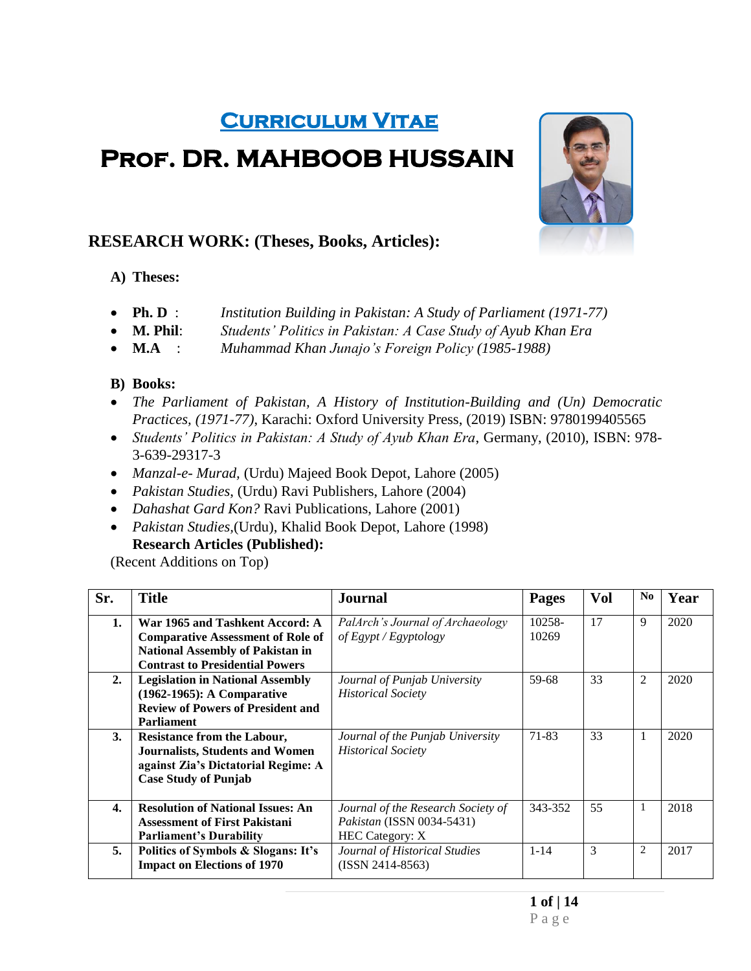# **Curriculum Vitae**

# **Prof. DR. MAHBOOB HUSSAIN**



## **RESEARCH WORK: (Theses, Books, Articles):**

### **A) Theses:**

- **Ph. D** : *Institution Building in Pakistan: A Study of Parliament (1971-77)*
- **M. Phil**: *Students' Politics in Pakistan: A Case Study of Ayub Khan Era*
- **M.A** : *Muhammad Khan Junajo's Foreign Policy (1985-1988)*

#### **B) Books:**

- *The Parliament of Pakistan, A History of Institution-Building and (Un) Democratic Practices, (1971-77)*, Karachi: Oxford University Press, (2019) ISBN: 9780199405565
- *Students' Politics in Pakistan: A Study of Ayub Khan Era*, Germany, (2010), ISBN: 978- 3-639-29317-3
- *Manzal-e- Murad,* (Urdu) Majeed Book Depot, Lahore (2005)
- *Pakistan Studies*, (Urdu) Ravi Publishers, Lahore (2004)
- *Dahashat Gard Kon?* Ravi Publications, Lahore (2001)
- *Pakistan Studies,*(Urdu), Khalid Book Depot, Lahore (1998) **Research Articles (Published):**

(Recent Additions on Top)

| Sr.                | <b>Title</b>                                                                        | Journal                            | Pages           | Vol | N <sub>0</sub> | Year |
|--------------------|-------------------------------------------------------------------------------------|------------------------------------|-----------------|-----|----------------|------|
| 1.                 | War 1965 and Tashkent Accord: A                                                     | PalArch's Journal of Archaeology   | 10258-<br>10269 | 17  | 9              | 2020 |
|                    | <b>Comparative Assessment of Role of</b><br><b>National Assembly of Pakistan in</b> | of Egypt/Egyptology                |                 |     |                |      |
|                    | <b>Contrast to Presidential Powers</b>                                              |                                    |                 |     |                |      |
| 2.                 | <b>Legislation in National Assembly</b>                                             | Journal of Punjab University       | 59-68           | 33  | 2              | 2020 |
|                    | (1962-1965): A Comparative                                                          | <b>Historical Society</b>          |                 |     |                |      |
|                    | <b>Review of Powers of President and</b>                                            |                                    |                 |     |                |      |
|                    | <b>Parliament</b>                                                                   |                                    |                 |     |                |      |
| 3.                 | <b>Resistance from the Labour,</b>                                                  | Journal of the Punjab University   | 71-83           | 33  | 1              | 2020 |
|                    | <b>Journalists, Students and Women</b>                                              | <b>Historical Society</b>          |                 |     |                |      |
|                    | against Zia's Dictatorial Regime: A                                                 |                                    |                 |     |                |      |
|                    | <b>Case Study of Punjab</b>                                                         |                                    |                 |     |                |      |
| $\boldsymbol{4}$ . | <b>Resolution of National Issues: An</b>                                            | Journal of the Research Society of | 343-352         | 55  | 1              | 2018 |
|                    | <b>Assessment of First Pakistani</b>                                                | Pakistan (ISSN 0034-5431)          |                 |     |                |      |
|                    | <b>Parliament's Durability</b>                                                      | <b>HEC Category: X</b>             |                 |     |                |      |
| 5.                 | Politics of Symbols & Slogans: It's                                                 | Journal of Historical Studies      | $1 - 14$        | 3   | $\overline{2}$ | 2017 |
|                    | <b>Impact on Elections of 1970</b>                                                  | $(ISSN 2414-8563)$                 |                 |     |                |      |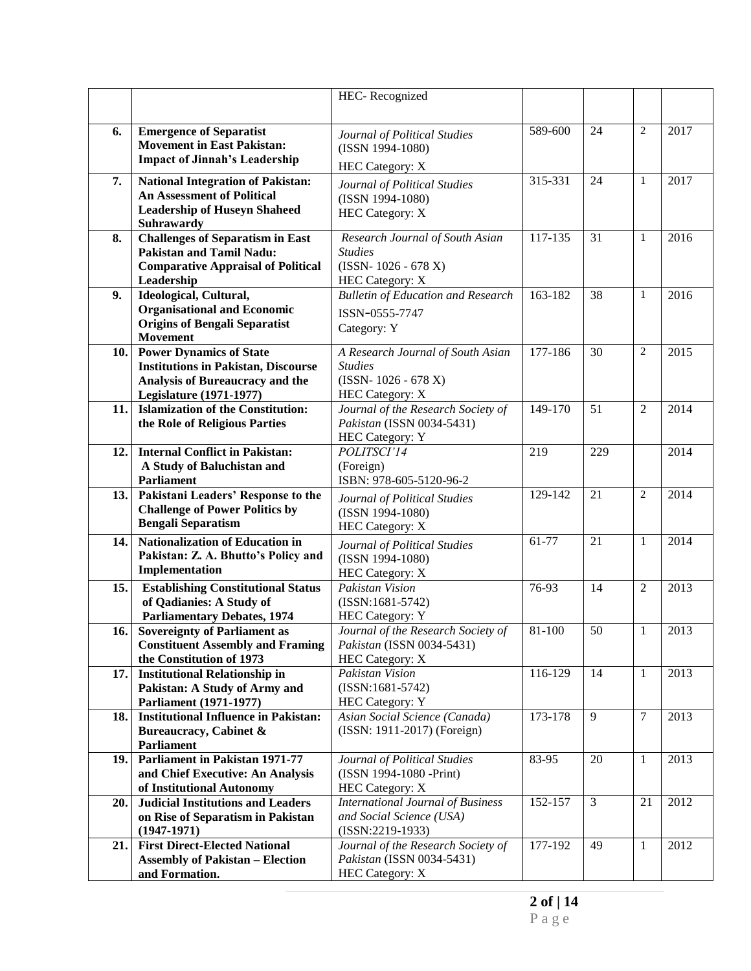|      |                                                         | HEC-Recognized                                    |             |                |                |      |
|------|---------------------------------------------------------|---------------------------------------------------|-------------|----------------|----------------|------|
|      |                                                         |                                                   |             |                |                |      |
| 6.   | <b>Emergence of Separatist</b>                          |                                                   | 589-600     | 24             | $\overline{2}$ | 2017 |
|      | <b>Movement in East Pakistan:</b>                       | Journal of Political Studies                      |             |                |                |      |
|      | <b>Impact of Jinnah's Leadership</b>                    | (ISSN 1994-1080)                                  |             |                |                |      |
|      |                                                         | <b>HEC Category: X</b>                            |             |                |                |      |
| 7.   | <b>National Integration of Pakistan:</b>                | Journal of Political Studies                      | 315-331     | 24             | $\mathbf{1}$   | 2017 |
|      | <b>An Assessment of Political</b>                       | (ISSN 1994-1080)                                  |             |                |                |      |
|      | <b>Leadership of Huseyn Shaheed</b>                     | <b>HEC Category: X</b>                            |             |                |                |      |
|      | Suhrawardy                                              |                                                   |             |                |                |      |
| 8.   | <b>Challenges of Separatism in East</b>                 | Research Journal of South Asian<br><b>Studies</b> | 117-135     | 31             | $\mathbf{1}$   | 2016 |
|      | <b>Pakistan and Tamil Nadu:</b>                         | $(ISSN-1026 - 678 X)$                             |             |                |                |      |
|      | <b>Comparative Appraisal of Political</b><br>Leadership | <b>HEC Category: X</b>                            |             |                |                |      |
| 9.   | Ideological, Cultural,                                  | <b>Bulletin of Education and Research</b>         | 163-182     | 38             | 1              | 2016 |
|      | <b>Organisational and Economic</b>                      |                                                   |             |                |                |      |
|      | <b>Origins of Bengali Separatist</b>                    | ISSN-0555-7747                                    |             |                |                |      |
|      | <b>Movement</b>                                         | Category: Y                                       |             |                |                |      |
| 10.  | <b>Power Dynamics of State</b>                          | A Research Journal of South Asian                 | 177-186     | 30             | $\overline{2}$ | 2015 |
|      | <b>Institutions in Pakistan, Discourse</b>              | <b>Studies</b>                                    |             |                |                |      |
|      | <b>Analysis of Bureaucracy and the</b>                  | $(ISSN-1026-678 X)$                               |             |                |                |      |
|      | <b>Legislature (1971-1977)</b>                          | <b>HEC Category: X</b>                            |             |                |                |      |
| 11.  | <b>Islamization of the Constitution:</b>                | Journal of the Research Society of                | 149-170     | 51             | $\overline{2}$ | 2014 |
|      | the Role of Religious Parties                           | Pakistan (ISSN 0034-5431)                         |             |                |                |      |
|      |                                                         | <b>HEC Category: Y</b>                            |             |                |                |      |
| 12.  | <b>Internal Conflict in Pakistan:</b>                   | POLITSCI'14                                       | 219         | 229            |                | 2014 |
|      | A Study of Baluchistan and                              | (Foreign)                                         |             |                |                |      |
|      | Parliament                                              | ISBN: 978-605-5120-96-2                           |             |                |                |      |
| 13.  | Pakistani Leaders' Response to the                      | Journal of Political Studies                      | 129-142     | 21             | 2              | 2014 |
|      | <b>Challenge of Power Politics by</b>                   | (ISSN 1994-1080)                                  |             |                |                |      |
|      | <b>Bengali Separatism</b>                               | <b>HEC Category: X</b>                            |             |                |                |      |
| 14.  | <b>Nationalization of Education in</b>                  | Journal of Political Studies                      | $61-77$     | 21             | 1              | 2014 |
|      | Pakistan: Z. A. Bhutto's Policy and                     | (ISSN 1994-1080)                                  |             |                |                |      |
|      | Implementation                                          | HEC Category: X                                   |             |                |                |      |
| 15.  | <b>Establishing Constitutional Status</b>               | Pakistan Vision                                   | 76-93       | 14             | $\overline{2}$ | 2013 |
|      | of Qadianies: A Study of                                | $(ISSN:1681-5742)$                                |             |                |                |      |
|      | <b>Parliamentary Debates, 1974</b>                      | <b>HEC Category: Y</b>                            |             |                |                |      |
| 16.1 | <b>Sovereignty of Parliament as</b>                     | Journal of the Research Society of                | 81-100      | 50             | 1              | 2013 |
|      | <b>Constituent Assembly and Framing</b>                 | Pakistan (ISSN 0034-5431)                         |             |                |                |      |
|      | the Constitution of 1973                                | <b>HEC Category: X</b>                            |             |                |                |      |
| 17.  | <b>Institutional Relationship in</b>                    | Pakistan Vision                                   | $116 - 129$ | 14             | $\mathbf{1}$   | 2013 |
|      | Pakistan: A Study of Army and                           | $(ISSN:1681-5742)$                                |             |                |                |      |
|      | Parliament (1971-1977)                                  | <b>HEC Category: Y</b>                            |             |                |                |      |
| 18.  | <b>Institutional Influence in Pakistan:</b>             | Asian Social Science (Canada)                     | 173-178     | 9              | $\overline{7}$ | 2013 |
|      | Bureaucracy, Cabinet &                                  | (ISSN: 1911-2017) (Foreign)                       |             |                |                |      |
|      | Parliament                                              |                                                   |             |                |                |      |
| 19.  | <b>Parliament in Pakistan 1971-77</b>                   | Journal of Political Studies                      | 83-95       | 20             | $\mathbf{1}$   | 2013 |
|      | and Chief Executive: An Analysis                        | (ISSN 1994-1080 -Print)                           |             |                |                |      |
|      | of Institutional Autonomy                               | <b>HEC Category: X</b>                            |             |                |                |      |
| 20.  | <b>Judicial Institutions and Leaders</b>                | <b>International Journal of Business</b>          | 152-157     | $\mathfrak{Z}$ | 21             | 2012 |
|      | on Rise of Separatism in Pakistan                       | and Social Science (USA)                          |             |                |                |      |
|      | $(1947-1971)$                                           | $(ISSN:2219-1933)$                                |             |                |                |      |
| 21.  | <b>First Direct-Elected National</b>                    | Journal of the Research Society of                | 177-192     | 49             | 1              | 2012 |
|      | <b>Assembly of Pakistan - Election</b>                  | Pakistan (ISSN 0034-5431)                         |             |                |                |      |
|      | and Formation.                                          | <b>HEC Category: X</b>                            |             |                |                |      |